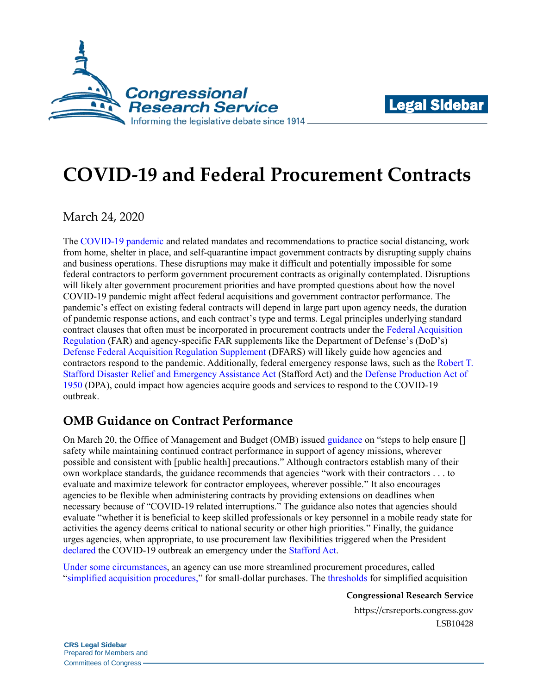



# **COVID-19 and Federal Procurement Contracts**

March 24, 2020

The [COVID-19 pandemic](https://crsreports.congress.gov/product/pdf/IN/IN11253) and related mandates and recommendations to practice social distancing, work from home, shelter in place, and self-quarantine impact government contracts by disrupting supply chains and business operations. These disruptions may make it difficult and potentially impossible for some federal contractors to perform government procurement contracts as originally contemplated. Disruptions will likely alter government procurement priorities and have prompted questions about how the novel COVID-19 pandemic might affect federal acquisitions and government contractor performance. The pandemic's effect on existing federal contracts will depend in large part upon agency needs, the duration of pandemic response actions, and each contract's type and terms. Legal principles underlying standard contract clauses that often must be incorporated in procurement contracts under the [Federal Acquisition](https://www.ecfr.gov/cgi-bin/text-idx?gp=&SID=89fd1c9671796f38d8d4baae698db92e&mc=true&tpl=/ecfrbrowse/Title48/48chapter1.tpl)  [Regulation](https://www.ecfr.gov/cgi-bin/text-idx?gp=&SID=89fd1c9671796f38d8d4baae698db92e&mc=true&tpl=/ecfrbrowse/Title48/48chapter1.tpl) (FAR) and agency-specific FAR supplements like the Department of Defense's (DoD's) [Defense Federal Acquisition Regulation Supplement](https://www.ecfr.gov/cgi-bin/text-idx?SID=43b57d534f2797b65978da8f684ca42e&mc=true&tpl=/ecfrbrowse/Title48/48cfrv3_02.tpl#0) (DFARS) will likely guide how agencies and contractors respond to the pandemic. Additionally, federal emergency response laws, such as the [Robert T.](https://uscode.house.gov/view.xhtml?req=granuleid%3AUSC-prelim-title42-chapter68-subchapter1&saved=%7CKHRpdGxlOjQyIHNlY3Rpb246NTEyMSBlZGl0aW9uOnByZWxpbSkgT1IgKGdyYW51bGVpZDpVU0MtcHJlbGltLXRpdGxlNDItc2VjdGlvbjUxMjEp%7CdHJlZXNvcnQ%3D%7C%7C0%7Cfalse%7Cprelim&edition=prelim)  [Stafford Disaster Relief and Emergency Assistance Act](https://uscode.house.gov/view.xhtml?req=granuleid%3AUSC-prelim-title42-chapter68-subchapter1&saved=%7CKHRpdGxlOjQyIHNlY3Rpb246NTEyMSBlZGl0aW9uOnByZWxpbSkgT1IgKGdyYW51bGVpZDpVU0MtcHJlbGltLXRpdGxlNDItc2VjdGlvbjUxMjEp%7CdHJlZXNvcnQ%3D%7C%7C0%7Cfalse%7Cprelim&edition=prelim) (Stafford Act) and the [Defense Production Act of](https://uscode.house.gov/view.xhtml?req=granuleid%3AUSC-prelim-title50-chapter55&saved=%7CKHRpdGxlOjUwIHNlY3Rpb246NDUwMSBlZGl0aW9uOnByZWxpbSkgT1IgKGdyYW51bGVpZDpVU0MtcHJlbGltLXRpdGxlNTAtc2VjdGlvbjQ1MDEp%7CdHJlZXNvcnQ%3D%7C%7C0%7Cfalse%7Cprelim&edition=prelim)  [1950](https://uscode.house.gov/view.xhtml?req=granuleid%3AUSC-prelim-title50-chapter55&saved=%7CKHRpdGxlOjUwIHNlY3Rpb246NDUwMSBlZGl0aW9uOnByZWxpbSkgT1IgKGdyYW51bGVpZDpVU0MtcHJlbGltLXRpdGxlNTAtc2VjdGlvbjQ1MDEp%7CdHJlZXNvcnQ%3D%7C%7C0%7Cfalse%7Cprelim&edition=prelim) (DPA), could impact how agencies acquire goods and services to respond to the COVID-19 outbreak.

# **OMB Guidance on Contract Performance**

On March 20, the Office of Management and Budget (OMB) issued [guidance](https://www.whitehouse.gov/wp-content/uploads/2020/03/M-20-18.pdf) on "steps to help ensure [] safety while maintaining continued contract performance in support of agency missions, wherever possible and consistent with [public health] precautions." Although contractors establish many of their own workplace standards, the guidance recommends that agencies "work with their contractors . . . to evaluate and maximize telework for contractor employees, wherever possible." It also encourages agencies to be flexible when administering contracts by providing extensions on deadlines when necessary because of "COVID-19 related interruptions." The guidance also notes that agencies should evaluate "whether it is beneficial to keep skilled professionals or key personnel in a mobile ready state for activities the agency deems critical to national security or other high priorities." Finally, the guidance urges agencies, when appropriate, to use procurement law flexibilities triggered when the President [declared](https://www.whitehouse.gov/briefings-statements/letter-president-donald-j-trump-emergency-determination-stafford-act/) the COVID-19 outbreak an emergency under the [Stafford Act.](https://uscode.house.gov/view.xhtml?req=granuleid%3AUSC-prelim-title42-chapter68-subchapter1&saved=%7CKHRpdGxlOjQyIHNlY3Rpb246NTEyMSBlZGl0aW9uOnByZWxpbSkgT1IgKGdyYW51bGVpZDpVU0MtcHJlbGltLXRpdGxlNDItc2VjdGlvbjUxMjEp%7CdHJlZXNvcnQ%3D%7C%7C0%7Cfalse%7Cprelim&edition=prelim)

Under some [circumstances,](https://uscode.house.gov/view.xhtml?req=(title:41%20section:1901%20edition:prelim)%20OR%20(granuleid:USC-prelim-title41-section1901)&f=treesort&edition=prelim&num=0&jumpTo=true) an agency can use more streamlined procurement procedures, called ["simplified acquisition procedures,](https://www.acquisition.gov/content/part-13-simplified-acquisition-procedures)" for small-dollar purchases. The [thresholds](https://uscode.house.gov/view.xhtml?req=(title:41%20section:1903%20edition:prelim)%20OR%20(granuleid:USC-prelim-title41-section1903)&f=treesort&edition=prelim&num=0&jumpTo=true) for simplified acquisition

**Congressional Research Service**

https://crsreports.congress.gov LSB10428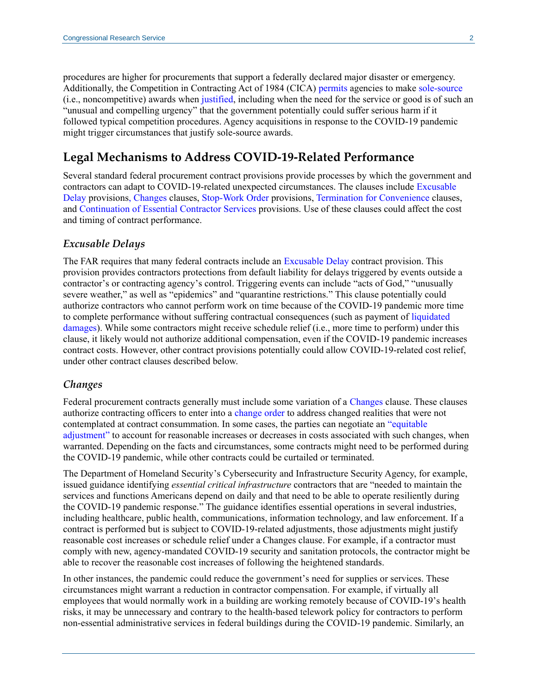procedures are higher for procurements that support a federally declared major disaster or emergency. Additionally, the Competition in Contracting Act of 1984 (CICA) [permits](https://uscode.house.gov/view.xhtml?req=(title:10%20section:2304%20edition:prelim)%20OR%20(granuleid:USC-prelim-title10-section2304)&f=treesort&edition=prelim&num=0&jumpTo=true) agencies to make [sole-source](http://uscode.house.gov/view.xhtml?req=granuleid:USC-1999-title41-section253&num=0&edition=1999) (i.e., noncompetitive) awards when [justified,](https://uscode.house.gov/view.xhtml?req=(title:10%20section:2304%20edition:prelim)%20OR%20(granuleid:USC-prelim-title10-section2304)&f=treesort&edition=prelim&num=0&jumpTo=true) including when the need for the service or good is of such an "unusual and compelling urgency" that the government potentially could suffer serious harm if it followed typical competition procedures. Agency acquisitions in response to the COVID-19 pandemic might trigger circumstances that justify sole-source awards.

## **Legal Mechanisms to Address COVID-19-Related Performance**

Several standard federal procurement contract provisions provide processes by which the government and contractors can adapt to COVID-19-related unexpected circumstances. The clauses include [Excusable](https://www.acquisition.gov/content/part-52-solicitation-provisions-and-contract-clauses#i1045071)  [Delay](https://www.acquisition.gov/content/part-52-solicitation-provisions-and-contract-clauses#i1045071) provisions, [Changes](https://www.acquisition.gov/content/part-52-solicitation-provisions-and-contract-clauses#i1048135) clauses, [Stop-Work Order](https://www.ecfr.gov/cgi-bin/text-idx?SID=2ee4edd12a584f6d6e762ff87fa08b70&mc=true&node=se48.2.52_1242_615&rgn=div8) provisions[, Termination for Convenience](https://www.ecfr.gov/cgi-bin/retrieveECFR?gp=&SID=daaad041e3a012f141925e91d4387d02&mc=true&n=pt48.2.52&r=PART&ty=HTML#se48.2.52_1249_64) clauses, and [Continuation of Essential Contractor Services](https://www.acq.osd.mil/dpap/dars/dfars/html/current/252237.htm#252.237-7023) provisions. Use of these clauses could affect the cost and timing of contract performance.

#### *Excusable Delays*

The FAR requires that many federal contracts include an [Excusable Delay](https://www.acquisition.gov/content/part-52-solicitation-provisions-and-contract-clauses#i1045071) contract provision. This provision provides contractors protections from default liability for delays triggered by events outside a contractor's or contracting agency's control. Triggering events can include "acts of God," "unusually severe weather," as well as "epidemics" and "quarantine restrictions." This clause potentially could authorize contractors who cannot perform work on time because of the COVID-19 pandemic more time to complete performance without suffering contractual consequences (such as payment of [liquidated](https://crsreports.congress.gov/product/pdf/R/R45322#_Toc525820650)  [damages\)](https://crsreports.congress.gov/product/pdf/R/R45322#_Toc525820650). While some contractors might receive schedule relief (i.e., more time to perform) under this clause, it likely would not authorize additional compensation, even if the COVID-19 pandemic increases contract costs. However, other contract provisions potentially could allow COVID-19-related cost relief, under other contract clauses described below.

#### *Changes*

Federal procurement contracts generally must include some variation of a [Changes](https://www.acquisition.gov/content/part-52-solicitation-provisions-and-contract-clauses#i1048135) clause. These clauses authorize contracting officers to enter into a [change order](https://www.ecfr.gov/cgi-bin/retrieveECFR?gp=&SID=89fd1c9671796f38d8d4baae698db92e&mc=true&n=pt48.1.43&r=PART&ty=HTML#se48.1.43_1201) to address changed realities that were not contemplated at contract consummation. In some cases, the parties can negotiate an ["equitable](https://www.ecfr.gov/cgi-bin/retrieveECFR?gp=&SID=89fd1c9671796f38d8d4baae698db92e&mc=true&n=pt48.1.43&r=PART&ty=HTML#se48.1.43_1204)  [adjustment"](https://www.ecfr.gov/cgi-bin/retrieveECFR?gp=&SID=89fd1c9671796f38d8d4baae698db92e&mc=true&n=pt48.1.43&r=PART&ty=HTML#se48.1.43_1204) to account for reasonable increases or decreases in costs associated with such changes, when warranted. Depending on the facts and circumstances, some contracts might need to be performed during the COVID-19 pandemic, while other contracts could be curtailed or terminated.

The Department of Homeland Security's Cybersecurity and Infrastructure Security Agency, for example, issued guidance identifying *essential critical infrastructure* contractors that are "needed to maintain the services and functions Americans depend on daily and that need to be able to operate resiliently during the COVID-19 pandemic response." The guidance identifies essential operations in several industries, including healthcare, public health, communications, information technology, and law enforcement. If a contract is performed but is subject to COVID-19-related adjustments, those adjustments might justify reasonable cost increases or schedule relief under a Changes clause. For example, if a contractor must comply with new, agency-mandated COVID-19 security and sanitation protocols, the contractor might be able to recover the reasonable cost increases of following the heightened standards.

In other instances, the pandemic could reduce the government's need for supplies or services. These circumstances might warrant a reduction in contractor compensation. For example, if virtually all employees that would normally work in a building are working remotely because of COVID-19's health risks, it may be unnecessary and contrary to the health-based telework policy for contractors to perform non-essential administrative services in federal buildings during the COVID-19 pandemic. Similarly, an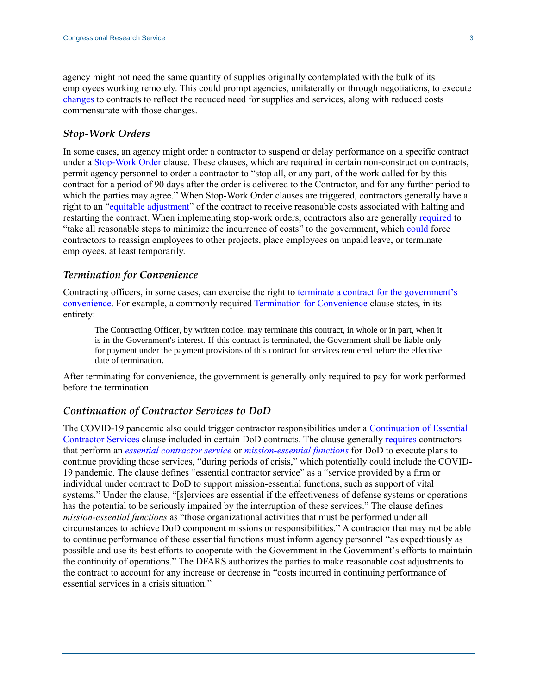agency might not need the same quantity of supplies originally contemplated with the bulk of its employees working remotely. This could prompt agencies, unilaterally or through negotiations, to execute [changes](https://www.ecfr.gov/cgi-bin/retrieveECFR?gp=&SID=89fd1c9671796f38d8d4baae698db92e&mc=true&n=pt48.1.43&r=PART&ty=HTML#se48.1.43_1201) to contracts to reflect the reduced need for supplies and services, along with reduced costs commensurate with those changes.

#### *Stop-Work Orders*

In some cases, an agency might order a contractor to suspend or delay performance on a specific contract under a [Stop-Work Order](https://www.ecfr.gov/cgi-bin/text-idx?SID=2ee4edd12a584f6d6e762ff87fa08b70&mc=true&node=se48.2.52_1242_615&rgn=div8) clause. These clauses, which are required in certain non-construction contracts, permit agency personnel to order a contractor to "stop all, or any part, of the work called for by this contract for a period of 90 days after the order is delivered to the Contractor, and for any further period to which the parties may agree." When Stop-Work Order clauses are triggered, contractors generally have a right to an ["equitable adjustment"](https://www.ecfr.gov/cgi-bin/retrieveECFR?gp=&SID=89fd1c9671796f38d8d4baae698db92e&mc=true&n=pt48.1.43&r=PART&ty=HTML#se48.1.43_1204) of the contract to receive reasonable costs associated with halting and restarting the contract. When implementing stop-work orders, contractors also are generally [required](https://www.ecfr.gov/cgi-bin/text-idx?SID=2ee4edd12a584f6d6e762ff87fa08b70&mc=true&node=se48.2.52_1242_615&rgn=div8) to "take all reasonable steps to minimize the incurrence of costs" to the government, which [could](https://www.mwllegal.com/wp-content/uploads/2013/10/Raytheon-Shutdown-Cost-Recovery-Case.pdf#page=19) force contractors to reassign employees to other projects, place employees on unpaid leave, or terminate employees, at least temporarily.

#### *Termination for Convenience*

Contracting officers, in some cases, can exercise the right to [terminate a contract for the government's](https://www.ecfr.gov/cgi-bin/text-idx?SID=4dd9323308d8de890a9c9ea4426d20a0&mc=true&node=sp48.1.49.49_11&rgn=div6)  [convenience.](https://www.ecfr.gov/cgi-bin/text-idx?SID=4dd9323308d8de890a9c9ea4426d20a0&mc=true&node=sp48.1.49.49_11&rgn=div6) For example, a commonly required [Termination for Convenience](https://www.ecfr.gov/cgi-bin/retrieveECFR?gp=&SID=daaad041e3a012f141925e91d4387d02&mc=true&n=pt48.2.52&r=PART&ty=HTML#se48.2.52_1249_64) clause states, in its entirety:

The Contracting Officer, by written notice, may terminate this contract, in whole or in part, when it is in the Government's interest. If this contract is terminated, the Government shall be liable only for payment under the payment provisions of this contract for services rendered before the effective date of termination.

After terminating for convenience, the government is generally only required to pay for work performed before the termination.

#### *Continuation of Contractor Services to DoD*

The COVID-19 pandemic also could trigger contractor responsibilities under a [Continuation of Essential](https://www.acq.osd.mil/dpap/dars/dfars/html/current/252237.htm#252.237-7023)  [Contractor Services](https://www.acq.osd.mil/dpap/dars/dfars/html/current/252237.htm#252.237-7023) clause included in certain DoD contracts. The clause generally [requires](https://www.acq.osd.mil/dpap/dars/dfars/html/current/237_76.htm) contractors that perform an *[essential contractor service](https://www.acq.osd.mil/dpap/dars/dfars/html/current/252237.htm#252.237-7023)* or *[mission-essential functions](https://www.acq.osd.mil/dpap/dars/dfars/html/current/252237.htm#252.237-7023)* for DoD to execute plans to continue providing those services, "during periods of crisis," which potentially could include the COVID-19 pandemic. The clause defines "essential contractor service" as a "service provided by a firm or individual under contract to DoD to support mission-essential functions, such as support of vital systems." Under the clause, "[s]ervices are essential if the effectiveness of defense systems or operations has the potential to be seriously impaired by the interruption of these services." The clause defines *mission-essential functions* as "those organizational activities that must be performed under all circumstances to achieve DoD component missions or responsibilities." A contractor that may not be able to continue performance of these essential functions must inform agency personnel "as expeditiously as possible and use its best efforts to cooperate with the Government in the Government's efforts to maintain the continuity of operations." The DFARS authorizes the parties to make reasonable cost adjustments to the contract to account for any increase or decrease in "costs incurred in continuing performance of essential services in a crisis situation."